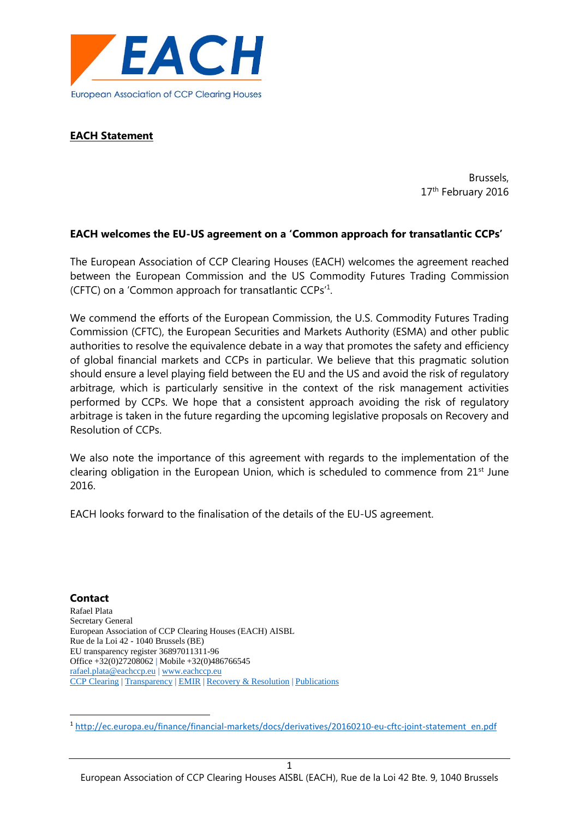

# **EACH Statement**

Brussels, 17<sup>th</sup> February 2016

### **EACH welcomes the EU-US agreement on a 'Common approach for transatlantic CCPs'**

The European Association of CCP Clearing Houses (EACH) welcomes the agreement reached between the European Commission and the US Commodity Futures Trading Commission (CFTC) on a 'Common approach for transatlantic CCPs'<sup>1</sup> .

We commend the efforts of the European Commission, the U.S. Commodity Futures Trading Commission (CFTC), the European Securities and Markets Authority (ESMA) and other public authorities to resolve the equivalence debate in a way that promotes the safety and efficiency of global financial markets and CCPs in particular. We believe that this pragmatic solution should ensure a level playing field between the EU and the US and avoid the risk of regulatory arbitrage, which is particularly sensitive in the context of the risk management activities performed by CCPs. We hope that a consistent approach avoiding the risk of regulatory arbitrage is taken in the future regarding the upcoming legislative proposals on Recovery and Resolution of CCPs.

We also note the importance of this agreement with regards to the implementation of the clearing obligation in the European Union, which is scheduled to commence from 21<sup>st</sup> June 2016.

EACH looks forward to the finalisation of the details of the EU-US agreement.

#### **Contact**

**.** 

Rafael Plata Secretary General European Association of CCP Clearing Houses (EACH) AISBL Rue de la Loi 42 - 1040 Brussels (BE) EU transparency register 36897011311-96 Office +32(0)27208062 | Mobile +32(0)486766545 [rafael.plata@eachccp.eu](mailto:rafael.plata@eachccp.eu) | [www.eachccp.eu](http://www.eachccp.eu/) [CCP Clearing](http://www.eachccp.eu/about-clearing/) [| Transparency](http://www.eachccp.eu/cpmi-iosco-public-quantitative-disclosure/) | [EMIR](http://www.eachccp.eu/review-of-the-european-market-infrastructure-regulation-emir/) | [Recovery & Resolution](http://www.eachccp.eu/recovery-and-resolution-of-central-counterparties/) | [Publications](http://www.eachccp.eu/newspublications/)

1

<sup>1</sup> [http://ec.europa.eu/finance/financial-markets/docs/derivatives/20160210-eu-cftc-joint-statement\\_en.pdf](http://ec.europa.eu/finance/financial-markets/docs/derivatives/20160210-eu-cftc-joint-statement_en.pdf)